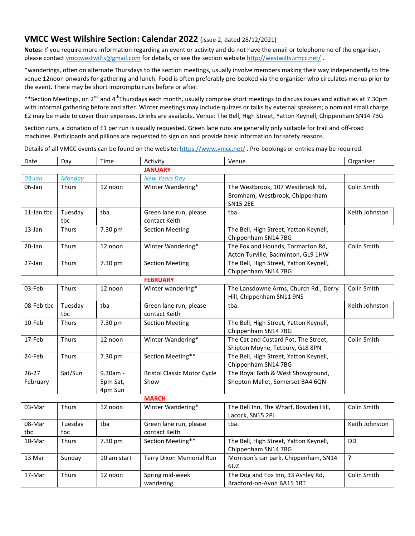## **VMCC West Wilshire Section: Calendar 2022** (issue 2, dated 28/12/2021)

**Notes:** If you require more information regarding an event or activity and do not have the email or telephone no of the organiser, please contact [vmccwestwilts@gmail.com](mailto:vmccwestwilts@gmail.com) for details, or see the section websit[e http://westwilts.vmcc.net/](http://westwilts.vmcc.net/).

\*wanderings, often on alternate Thursdays to the section meetings, usually involve members making their way independently to the venue 12noon onwards for gathering and lunch. Food is often preferably pre-booked via the organiser who circulates menus prior to the event. There may be short impromptu runs before or after.

\*\*Section Meetings, on 2<sup>nd</sup> and 4<sup>th</sup>Thursdays each month, usually comprise short meetings to discuss issues and activities at 7.30pm with informal gathering before and after. Winter meetings may include quizzes or talks by external speakers; a nominal small charge £2 may be made to cover their expenses. Drinks are available. Venue: The Bell, High Street, Yatton Keynell, Chippenham SN14 7BG

Section runs, a donation of £1 per run is usually requested. Green lane runs are generally only suitable for trail and off-road machines. Participants and pillions are requested to sign on and provide basic information for safety reasons.

Details of all VMCC events can be found on the website[: https://www.vmcc.net/](https://www.vmcc.net/). Pre-bookings or entries may be required.

| Date                  | Day            | Time                            | Activity                                   | Venue                                                                                 | Organiser      |  |  |
|-----------------------|----------------|---------------------------------|--------------------------------------------|---------------------------------------------------------------------------------------|----------------|--|--|
|                       |                |                                 | <b>JANUARY</b>                             |                                                                                       |                |  |  |
| $03$ -Jan             | <b>Monday</b>  |                                 | <b>New Years Day</b>                       |                                                                                       |                |  |  |
| 06-Jan                | Thurs          | 12 noon                         | Winter Wandering*                          | The Westbrook, 107 Westbrook Rd,<br>Bromham, Westbrook, Chippenham<br><b>SN15 2EE</b> | Colin Smith    |  |  |
| 11-Jan tbc            | Tuesday<br>tbc | tba                             | Green lane run, please<br>contact Keith    | tba.                                                                                  | Keith Johnston |  |  |
| 13-Jan                | <b>Thurs</b>   | 7.30 pm                         | <b>Section Meeting</b>                     | The Bell, High Street, Yatton Keynell,<br>Chippenham SN14 7BG                         |                |  |  |
| 20-Jan                | Thurs          | 12 noon                         | Winter Wandering*                          | The Fox and Hounds, Tormarton Rd,<br>Acton Turville, Badminton, GL9 1HW               | Colin Smith    |  |  |
| 27-Jan                | Thurs          | 7.30 pm                         | <b>Section Meeting</b>                     | The Bell, High Street, Yatton Keynell,<br>Chippenham SN14 7BG                         |                |  |  |
|                       |                |                                 | <b>FEBRUARY</b>                            |                                                                                       |                |  |  |
| 03-Feb                | Thurs          | 12 noon                         | Winter wandering*                          | The Lansdowne Arms, Church Rd., Derry<br>Hill, Chippenham SN11 9NS                    | Colin Smith    |  |  |
| 08-Feb tbc            | Tuesday<br>tbc | tba                             | Green lane run, please<br>contact Keith    | tba.                                                                                  | Keith Johnston |  |  |
| 10-Feb                | <b>Thurs</b>   | 7.30 pm                         | <b>Section Meeting</b>                     | The Bell, High Street, Yatton Keynell,<br>Chippenham SN14 7BG                         |                |  |  |
| 17-Feb                | <b>Thurs</b>   | 12 noon                         | Winter Wandering*                          | The Cat and Custard Pot, The Street,<br>Shipton Moyne, Tetbury, GL8 8PN               | Colin Smith    |  |  |
| 24-Feb                | Thurs          | 7.30 pm                         | Section Meeting**                          | The Bell, High Street, Yatton Keynell,<br>Chippenham SN14 7BG                         |                |  |  |
| $26 - 27$<br>February | Sat/Sun        | 9.30am -<br>5pm Sat,<br>4pm Sun | <b>Bristol Classic Motor Cycle</b><br>Show | The Royal Bath & West Showground,<br>Shepton Mallet, Somerset BA4 6QN                 |                |  |  |
|                       | <b>MARCH</b>   |                                 |                                            |                                                                                       |                |  |  |
| 03-Mar                | <b>Thurs</b>   | 12 noon                         | Winter Wandering*                          | The Bell Inn, The Wharf, Bowden Hill,<br>Lacock, SN15 2PJ                             | Colin Smith    |  |  |
| 08-Mar<br>tbc         | Tuesday<br>tbc | tba                             | Green lane run, please<br>contact Keith    | tba.                                                                                  | Keith Johnston |  |  |
| 10-Mar                | Thurs          | 7.30 pm                         | Section Meeting**                          | The Bell, High Street, Yatton Keynell,<br>Chippenham SN14 7BG                         | <b>DD</b>      |  |  |
| 13 Mar                | Sunday         | 10 am start                     | Terry Dixon Memorial Run                   | Morrison's car park, Chippenham, SN14<br>6UZ                                          | $\overline{?}$ |  |  |
| 17-Mar                | <b>Thurs</b>   | 12 noon                         | Spring mid-week<br>wandering               | The Dog and Fox Inn, 33 Ashley Rd,<br>Bradford-on-Avon BA15 1RT                       | Colin Smith    |  |  |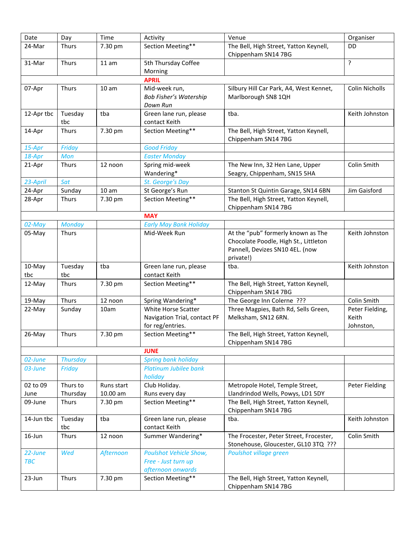| Section Meeting**<br>The Bell, High Street, Yatton Keynell,<br>24-Mar<br><b>Thurs</b><br>7.30 pm<br>DD<br>Chippenham SN14 7BG<br>?<br>5th Thursday Coffee<br>31-Mar<br>Thurs<br>11 am<br>Morning<br><b>APRIL</b><br>Silbury Hill Car Park, A4, West Kennet,<br>07-Apr<br>Thurs<br>Mid-week run,<br>Colin Nicholls<br>10 <sub>am</sub><br><b>Bob Fisher's Watership</b><br>Marlborough SN8 1QH<br>Down Run<br>12-Apr tbc<br>Tuesday<br>tba<br>Green lane run, please<br>Keith Johnston<br>tba.<br>contact Keith<br>tbc<br>Section Meeting**<br>7.30 pm<br>The Bell, High Street, Yatton Keynell,<br>14-Apr<br><b>Thurs</b><br>Chippenham SN14 7BG<br><b>Good Friday</b><br>15-Apr<br>Friday<br>18-Apr<br>Mon<br><b>Easter Monday</b><br>The New Inn, 32 Hen Lane, Upper<br>Colin Smith<br>Spring mid-week<br>21-Apr<br><b>Thurs</b><br>12 noon<br>Seagry, Chippenham, SN15 5HA<br>Wandering*<br>23-April<br>Sat<br>St. George's Day<br>St George's Run<br>24-Apr<br>Sunday<br>10 am<br>Stanton St Quintin Garage, SN14 6BN<br>Jim Gaisford<br>Section Meeting**<br>The Bell, High Street, Yatton Keynell,<br>28-Apr<br>Thurs<br>7.30 pm<br>Chippenham SN14 7BG<br><b>MAY</b><br><b>Early May Bank Holiday</b><br>02-May<br><b>Monday</b><br>At the "pub" formerly known as The<br>Thurs<br>05-May<br>Mid-Week Run<br>Keith Johnston<br>Chocolate Poodle, High St., Littleton<br>Pannell, Devizes SN10 4EL. (now<br>private!)<br>10-May<br>Tuesday<br>tba<br>Green lane run, please<br>tba.<br>Keith Johnston<br>tbc<br>contact Keith<br>tbc<br>12-May<br>Thurs<br>7.30 pm<br>Section Meeting**<br>The Bell, High Street, Yatton Keynell,<br>Chippenham SN14 7BG<br><b>Thurs</b><br>The George Inn Colerne ???<br>Colin Smith<br>19-May<br>12 noon<br>Spring Wandering*<br>Three Magpies, Bath Rd, Sells Green,<br>White Horse Scatter<br>22-May<br>Sunday<br>10am<br>Peter Fielding,<br>Melksham, SN12 6RN.<br>Keith<br>Navigation Trial, contact PF<br>for reg/entries.<br>Johnston,<br>Section Meeting**<br>7.30 pm<br>26-May<br><b>Thurs</b><br>The Bell, High Street, Yatton Keynell,<br>Chippenham SN14 7BG<br><b>JUNE</b><br><b>Thursday</b><br><b>Spring bank holiday</b><br>02-June<br>Platinum Jubilee bank<br>03-June<br>Friday<br>holiday<br>02 to 09<br>Thurs to<br>Club Holiday.<br>Runs start<br>Metropole Hotel, Temple Street,<br>Peter Fielding<br>Thursday<br>10.00 am<br>Runs every day<br>Llandrindod Wells, Powys, LD1 5DY<br>June<br>Section Meeting**<br>The Bell, High Street, Yatton Keynell,<br>09-June<br>7.30 pm<br><b>Thurs</b><br>Chippenham SN14 7BG<br>Green lane run, please<br>Keith Johnston<br>14-Jun tbc<br>Tuesday<br>tba<br>tba.<br>contact Keith<br>tbc<br>16-Jun<br>Summer Wandering*<br>The Frocester, Peter Street, Frocester,<br>Colin Smith<br>Thurs<br>12 noon<br>Stonehouse, Gloucester, GL10 3TQ ???<br><b>Poulshot Vehicle Show,</b><br>22-June<br>Wed<br>Afternoon<br>Poulshot village green<br><b>TBC</b><br>Free - Just turn up<br>afternoon onwards<br>Section Meeting**<br>23-Jun<br>Thurs<br>7.30 pm<br>The Bell, High Street, Yatton Keynell,<br>Chippenham SN14 7BG | Date | Day | Time | Activity | Venue | Organiser |  |  |  |
|-----------------------------------------------------------------------------------------------------------------------------------------------------------------------------------------------------------------------------------------------------------------------------------------------------------------------------------------------------------------------------------------------------------------------------------------------------------------------------------------------------------------------------------------------------------------------------------------------------------------------------------------------------------------------------------------------------------------------------------------------------------------------------------------------------------------------------------------------------------------------------------------------------------------------------------------------------------------------------------------------------------------------------------------------------------------------------------------------------------------------------------------------------------------------------------------------------------------------------------------------------------------------------------------------------------------------------------------------------------------------------------------------------------------------------------------------------------------------------------------------------------------------------------------------------------------------------------------------------------------------------------------------------------------------------------------------------------------------------------------------------------------------------------------------------------------------------------------------------------------------------------------------------------------------------------------------------------------------------------------------------------------------------------------------------------------------------------------------------------------------------------------------------------------------------------------------------------------------------------------------------------------------------------------------------------------------------------------------------------------------------------------------------------------------------------------------------------------------------------------------------------------------------------------------------------------------------------------------------------------------------------------------------------------------------------------------------------------------------------------------------------------------------------------------------------------------------------------------------------------------------------------------------------------------------------------------------------------------------------------------------------------------------------------------------------------------------------------------------------------------------|------|-----|------|----------|-------|-----------|--|--|--|
|                                                                                                                                                                                                                                                                                                                                                                                                                                                                                                                                                                                                                                                                                                                                                                                                                                                                                                                                                                                                                                                                                                                                                                                                                                                                                                                                                                                                                                                                                                                                                                                                                                                                                                                                                                                                                                                                                                                                                                                                                                                                                                                                                                                                                                                                                                                                                                                                                                                                                                                                                                                                                                                                                                                                                                                                                                                                                                                                                                                                                                                                                                                             |      |     |      |          |       |           |  |  |  |
|                                                                                                                                                                                                                                                                                                                                                                                                                                                                                                                                                                                                                                                                                                                                                                                                                                                                                                                                                                                                                                                                                                                                                                                                                                                                                                                                                                                                                                                                                                                                                                                                                                                                                                                                                                                                                                                                                                                                                                                                                                                                                                                                                                                                                                                                                                                                                                                                                                                                                                                                                                                                                                                                                                                                                                                                                                                                                                                                                                                                                                                                                                                             |      |     |      |          |       |           |  |  |  |
|                                                                                                                                                                                                                                                                                                                                                                                                                                                                                                                                                                                                                                                                                                                                                                                                                                                                                                                                                                                                                                                                                                                                                                                                                                                                                                                                                                                                                                                                                                                                                                                                                                                                                                                                                                                                                                                                                                                                                                                                                                                                                                                                                                                                                                                                                                                                                                                                                                                                                                                                                                                                                                                                                                                                                                                                                                                                                                                                                                                                                                                                                                                             |      |     |      |          |       |           |  |  |  |
|                                                                                                                                                                                                                                                                                                                                                                                                                                                                                                                                                                                                                                                                                                                                                                                                                                                                                                                                                                                                                                                                                                                                                                                                                                                                                                                                                                                                                                                                                                                                                                                                                                                                                                                                                                                                                                                                                                                                                                                                                                                                                                                                                                                                                                                                                                                                                                                                                                                                                                                                                                                                                                                                                                                                                                                                                                                                                                                                                                                                                                                                                                                             |      |     |      |          |       |           |  |  |  |
|                                                                                                                                                                                                                                                                                                                                                                                                                                                                                                                                                                                                                                                                                                                                                                                                                                                                                                                                                                                                                                                                                                                                                                                                                                                                                                                                                                                                                                                                                                                                                                                                                                                                                                                                                                                                                                                                                                                                                                                                                                                                                                                                                                                                                                                                                                                                                                                                                                                                                                                                                                                                                                                                                                                                                                                                                                                                                                                                                                                                                                                                                                                             |      |     |      |          |       |           |  |  |  |
|                                                                                                                                                                                                                                                                                                                                                                                                                                                                                                                                                                                                                                                                                                                                                                                                                                                                                                                                                                                                                                                                                                                                                                                                                                                                                                                                                                                                                                                                                                                                                                                                                                                                                                                                                                                                                                                                                                                                                                                                                                                                                                                                                                                                                                                                                                                                                                                                                                                                                                                                                                                                                                                                                                                                                                                                                                                                                                                                                                                                                                                                                                                             |      |     |      |          |       |           |  |  |  |
|                                                                                                                                                                                                                                                                                                                                                                                                                                                                                                                                                                                                                                                                                                                                                                                                                                                                                                                                                                                                                                                                                                                                                                                                                                                                                                                                                                                                                                                                                                                                                                                                                                                                                                                                                                                                                                                                                                                                                                                                                                                                                                                                                                                                                                                                                                                                                                                                                                                                                                                                                                                                                                                                                                                                                                                                                                                                                                                                                                                                                                                                                                                             |      |     |      |          |       |           |  |  |  |
|                                                                                                                                                                                                                                                                                                                                                                                                                                                                                                                                                                                                                                                                                                                                                                                                                                                                                                                                                                                                                                                                                                                                                                                                                                                                                                                                                                                                                                                                                                                                                                                                                                                                                                                                                                                                                                                                                                                                                                                                                                                                                                                                                                                                                                                                                                                                                                                                                                                                                                                                                                                                                                                                                                                                                                                                                                                                                                                                                                                                                                                                                                                             |      |     |      |          |       |           |  |  |  |
|                                                                                                                                                                                                                                                                                                                                                                                                                                                                                                                                                                                                                                                                                                                                                                                                                                                                                                                                                                                                                                                                                                                                                                                                                                                                                                                                                                                                                                                                                                                                                                                                                                                                                                                                                                                                                                                                                                                                                                                                                                                                                                                                                                                                                                                                                                                                                                                                                                                                                                                                                                                                                                                                                                                                                                                                                                                                                                                                                                                                                                                                                                                             |      |     |      |          |       |           |  |  |  |
|                                                                                                                                                                                                                                                                                                                                                                                                                                                                                                                                                                                                                                                                                                                                                                                                                                                                                                                                                                                                                                                                                                                                                                                                                                                                                                                                                                                                                                                                                                                                                                                                                                                                                                                                                                                                                                                                                                                                                                                                                                                                                                                                                                                                                                                                                                                                                                                                                                                                                                                                                                                                                                                                                                                                                                                                                                                                                                                                                                                                                                                                                                                             |      |     |      |          |       |           |  |  |  |
|                                                                                                                                                                                                                                                                                                                                                                                                                                                                                                                                                                                                                                                                                                                                                                                                                                                                                                                                                                                                                                                                                                                                                                                                                                                                                                                                                                                                                                                                                                                                                                                                                                                                                                                                                                                                                                                                                                                                                                                                                                                                                                                                                                                                                                                                                                                                                                                                                                                                                                                                                                                                                                                                                                                                                                                                                                                                                                                                                                                                                                                                                                                             |      |     |      |          |       |           |  |  |  |
|                                                                                                                                                                                                                                                                                                                                                                                                                                                                                                                                                                                                                                                                                                                                                                                                                                                                                                                                                                                                                                                                                                                                                                                                                                                                                                                                                                                                                                                                                                                                                                                                                                                                                                                                                                                                                                                                                                                                                                                                                                                                                                                                                                                                                                                                                                                                                                                                                                                                                                                                                                                                                                                                                                                                                                                                                                                                                                                                                                                                                                                                                                                             |      |     |      |          |       |           |  |  |  |
|                                                                                                                                                                                                                                                                                                                                                                                                                                                                                                                                                                                                                                                                                                                                                                                                                                                                                                                                                                                                                                                                                                                                                                                                                                                                                                                                                                                                                                                                                                                                                                                                                                                                                                                                                                                                                                                                                                                                                                                                                                                                                                                                                                                                                                                                                                                                                                                                                                                                                                                                                                                                                                                                                                                                                                                                                                                                                                                                                                                                                                                                                                                             |      |     |      |          |       |           |  |  |  |
|                                                                                                                                                                                                                                                                                                                                                                                                                                                                                                                                                                                                                                                                                                                                                                                                                                                                                                                                                                                                                                                                                                                                                                                                                                                                                                                                                                                                                                                                                                                                                                                                                                                                                                                                                                                                                                                                                                                                                                                                                                                                                                                                                                                                                                                                                                                                                                                                                                                                                                                                                                                                                                                                                                                                                                                                                                                                                                                                                                                                                                                                                                                             |      |     |      |          |       |           |  |  |  |
|                                                                                                                                                                                                                                                                                                                                                                                                                                                                                                                                                                                                                                                                                                                                                                                                                                                                                                                                                                                                                                                                                                                                                                                                                                                                                                                                                                                                                                                                                                                                                                                                                                                                                                                                                                                                                                                                                                                                                                                                                                                                                                                                                                                                                                                                                                                                                                                                                                                                                                                                                                                                                                                                                                                                                                                                                                                                                                                                                                                                                                                                                                                             |      |     |      |          |       |           |  |  |  |
|                                                                                                                                                                                                                                                                                                                                                                                                                                                                                                                                                                                                                                                                                                                                                                                                                                                                                                                                                                                                                                                                                                                                                                                                                                                                                                                                                                                                                                                                                                                                                                                                                                                                                                                                                                                                                                                                                                                                                                                                                                                                                                                                                                                                                                                                                                                                                                                                                                                                                                                                                                                                                                                                                                                                                                                                                                                                                                                                                                                                                                                                                                                             |      |     |      |          |       |           |  |  |  |
|                                                                                                                                                                                                                                                                                                                                                                                                                                                                                                                                                                                                                                                                                                                                                                                                                                                                                                                                                                                                                                                                                                                                                                                                                                                                                                                                                                                                                                                                                                                                                                                                                                                                                                                                                                                                                                                                                                                                                                                                                                                                                                                                                                                                                                                                                                                                                                                                                                                                                                                                                                                                                                                                                                                                                                                                                                                                                                                                                                                                                                                                                                                             |      |     |      |          |       |           |  |  |  |
|                                                                                                                                                                                                                                                                                                                                                                                                                                                                                                                                                                                                                                                                                                                                                                                                                                                                                                                                                                                                                                                                                                                                                                                                                                                                                                                                                                                                                                                                                                                                                                                                                                                                                                                                                                                                                                                                                                                                                                                                                                                                                                                                                                                                                                                                                                                                                                                                                                                                                                                                                                                                                                                                                                                                                                                                                                                                                                                                                                                                                                                                                                                             |      |     |      |          |       |           |  |  |  |
|                                                                                                                                                                                                                                                                                                                                                                                                                                                                                                                                                                                                                                                                                                                                                                                                                                                                                                                                                                                                                                                                                                                                                                                                                                                                                                                                                                                                                                                                                                                                                                                                                                                                                                                                                                                                                                                                                                                                                                                                                                                                                                                                                                                                                                                                                                                                                                                                                                                                                                                                                                                                                                                                                                                                                                                                                                                                                                                                                                                                                                                                                                                             |      |     |      |          |       |           |  |  |  |
|                                                                                                                                                                                                                                                                                                                                                                                                                                                                                                                                                                                                                                                                                                                                                                                                                                                                                                                                                                                                                                                                                                                                                                                                                                                                                                                                                                                                                                                                                                                                                                                                                                                                                                                                                                                                                                                                                                                                                                                                                                                                                                                                                                                                                                                                                                                                                                                                                                                                                                                                                                                                                                                                                                                                                                                                                                                                                                                                                                                                                                                                                                                             |      |     |      |          |       |           |  |  |  |
|                                                                                                                                                                                                                                                                                                                                                                                                                                                                                                                                                                                                                                                                                                                                                                                                                                                                                                                                                                                                                                                                                                                                                                                                                                                                                                                                                                                                                                                                                                                                                                                                                                                                                                                                                                                                                                                                                                                                                                                                                                                                                                                                                                                                                                                                                                                                                                                                                                                                                                                                                                                                                                                                                                                                                                                                                                                                                                                                                                                                                                                                                                                             |      |     |      |          |       |           |  |  |  |
|                                                                                                                                                                                                                                                                                                                                                                                                                                                                                                                                                                                                                                                                                                                                                                                                                                                                                                                                                                                                                                                                                                                                                                                                                                                                                                                                                                                                                                                                                                                                                                                                                                                                                                                                                                                                                                                                                                                                                                                                                                                                                                                                                                                                                                                                                                                                                                                                                                                                                                                                                                                                                                                                                                                                                                                                                                                                                                                                                                                                                                                                                                                             |      |     |      |          |       |           |  |  |  |
|                                                                                                                                                                                                                                                                                                                                                                                                                                                                                                                                                                                                                                                                                                                                                                                                                                                                                                                                                                                                                                                                                                                                                                                                                                                                                                                                                                                                                                                                                                                                                                                                                                                                                                                                                                                                                                                                                                                                                                                                                                                                                                                                                                                                                                                                                                                                                                                                                                                                                                                                                                                                                                                                                                                                                                                                                                                                                                                                                                                                                                                                                                                             |      |     |      |          |       |           |  |  |  |
|                                                                                                                                                                                                                                                                                                                                                                                                                                                                                                                                                                                                                                                                                                                                                                                                                                                                                                                                                                                                                                                                                                                                                                                                                                                                                                                                                                                                                                                                                                                                                                                                                                                                                                                                                                                                                                                                                                                                                                                                                                                                                                                                                                                                                                                                                                                                                                                                                                                                                                                                                                                                                                                                                                                                                                                                                                                                                                                                                                                                                                                                                                                             |      |     |      |          |       |           |  |  |  |
|                                                                                                                                                                                                                                                                                                                                                                                                                                                                                                                                                                                                                                                                                                                                                                                                                                                                                                                                                                                                                                                                                                                                                                                                                                                                                                                                                                                                                                                                                                                                                                                                                                                                                                                                                                                                                                                                                                                                                                                                                                                                                                                                                                                                                                                                                                                                                                                                                                                                                                                                                                                                                                                                                                                                                                                                                                                                                                                                                                                                                                                                                                                             |      |     |      |          |       |           |  |  |  |
|                                                                                                                                                                                                                                                                                                                                                                                                                                                                                                                                                                                                                                                                                                                                                                                                                                                                                                                                                                                                                                                                                                                                                                                                                                                                                                                                                                                                                                                                                                                                                                                                                                                                                                                                                                                                                                                                                                                                                                                                                                                                                                                                                                                                                                                                                                                                                                                                                                                                                                                                                                                                                                                                                                                                                                                                                                                                                                                                                                                                                                                                                                                             |      |     |      |          |       |           |  |  |  |
|                                                                                                                                                                                                                                                                                                                                                                                                                                                                                                                                                                                                                                                                                                                                                                                                                                                                                                                                                                                                                                                                                                                                                                                                                                                                                                                                                                                                                                                                                                                                                                                                                                                                                                                                                                                                                                                                                                                                                                                                                                                                                                                                                                                                                                                                                                                                                                                                                                                                                                                                                                                                                                                                                                                                                                                                                                                                                                                                                                                                                                                                                                                             |      |     |      |          |       |           |  |  |  |
|                                                                                                                                                                                                                                                                                                                                                                                                                                                                                                                                                                                                                                                                                                                                                                                                                                                                                                                                                                                                                                                                                                                                                                                                                                                                                                                                                                                                                                                                                                                                                                                                                                                                                                                                                                                                                                                                                                                                                                                                                                                                                                                                                                                                                                                                                                                                                                                                                                                                                                                                                                                                                                                                                                                                                                                                                                                                                                                                                                                                                                                                                                                             |      |     |      |          |       |           |  |  |  |
|                                                                                                                                                                                                                                                                                                                                                                                                                                                                                                                                                                                                                                                                                                                                                                                                                                                                                                                                                                                                                                                                                                                                                                                                                                                                                                                                                                                                                                                                                                                                                                                                                                                                                                                                                                                                                                                                                                                                                                                                                                                                                                                                                                                                                                                                                                                                                                                                                                                                                                                                                                                                                                                                                                                                                                                                                                                                                                                                                                                                                                                                                                                             |      |     |      |          |       |           |  |  |  |
|                                                                                                                                                                                                                                                                                                                                                                                                                                                                                                                                                                                                                                                                                                                                                                                                                                                                                                                                                                                                                                                                                                                                                                                                                                                                                                                                                                                                                                                                                                                                                                                                                                                                                                                                                                                                                                                                                                                                                                                                                                                                                                                                                                                                                                                                                                                                                                                                                                                                                                                                                                                                                                                                                                                                                                                                                                                                                                                                                                                                                                                                                                                             |      |     |      |          |       |           |  |  |  |
|                                                                                                                                                                                                                                                                                                                                                                                                                                                                                                                                                                                                                                                                                                                                                                                                                                                                                                                                                                                                                                                                                                                                                                                                                                                                                                                                                                                                                                                                                                                                                                                                                                                                                                                                                                                                                                                                                                                                                                                                                                                                                                                                                                                                                                                                                                                                                                                                                                                                                                                                                                                                                                                                                                                                                                                                                                                                                                                                                                                                                                                                                                                             |      |     |      |          |       |           |  |  |  |
|                                                                                                                                                                                                                                                                                                                                                                                                                                                                                                                                                                                                                                                                                                                                                                                                                                                                                                                                                                                                                                                                                                                                                                                                                                                                                                                                                                                                                                                                                                                                                                                                                                                                                                                                                                                                                                                                                                                                                                                                                                                                                                                                                                                                                                                                                                                                                                                                                                                                                                                                                                                                                                                                                                                                                                                                                                                                                                                                                                                                                                                                                                                             |      |     |      |          |       |           |  |  |  |
|                                                                                                                                                                                                                                                                                                                                                                                                                                                                                                                                                                                                                                                                                                                                                                                                                                                                                                                                                                                                                                                                                                                                                                                                                                                                                                                                                                                                                                                                                                                                                                                                                                                                                                                                                                                                                                                                                                                                                                                                                                                                                                                                                                                                                                                                                                                                                                                                                                                                                                                                                                                                                                                                                                                                                                                                                                                                                                                                                                                                                                                                                                                             |      |     |      |          |       |           |  |  |  |
|                                                                                                                                                                                                                                                                                                                                                                                                                                                                                                                                                                                                                                                                                                                                                                                                                                                                                                                                                                                                                                                                                                                                                                                                                                                                                                                                                                                                                                                                                                                                                                                                                                                                                                                                                                                                                                                                                                                                                                                                                                                                                                                                                                                                                                                                                                                                                                                                                                                                                                                                                                                                                                                                                                                                                                                                                                                                                                                                                                                                                                                                                                                             |      |     |      |          |       |           |  |  |  |
|                                                                                                                                                                                                                                                                                                                                                                                                                                                                                                                                                                                                                                                                                                                                                                                                                                                                                                                                                                                                                                                                                                                                                                                                                                                                                                                                                                                                                                                                                                                                                                                                                                                                                                                                                                                                                                                                                                                                                                                                                                                                                                                                                                                                                                                                                                                                                                                                                                                                                                                                                                                                                                                                                                                                                                                                                                                                                                                                                                                                                                                                                                                             |      |     |      |          |       |           |  |  |  |
|                                                                                                                                                                                                                                                                                                                                                                                                                                                                                                                                                                                                                                                                                                                                                                                                                                                                                                                                                                                                                                                                                                                                                                                                                                                                                                                                                                                                                                                                                                                                                                                                                                                                                                                                                                                                                                                                                                                                                                                                                                                                                                                                                                                                                                                                                                                                                                                                                                                                                                                                                                                                                                                                                                                                                                                                                                                                                                                                                                                                                                                                                                                             |      |     |      |          |       |           |  |  |  |
|                                                                                                                                                                                                                                                                                                                                                                                                                                                                                                                                                                                                                                                                                                                                                                                                                                                                                                                                                                                                                                                                                                                                                                                                                                                                                                                                                                                                                                                                                                                                                                                                                                                                                                                                                                                                                                                                                                                                                                                                                                                                                                                                                                                                                                                                                                                                                                                                                                                                                                                                                                                                                                                                                                                                                                                                                                                                                                                                                                                                                                                                                                                             |      |     |      |          |       |           |  |  |  |
|                                                                                                                                                                                                                                                                                                                                                                                                                                                                                                                                                                                                                                                                                                                                                                                                                                                                                                                                                                                                                                                                                                                                                                                                                                                                                                                                                                                                                                                                                                                                                                                                                                                                                                                                                                                                                                                                                                                                                                                                                                                                                                                                                                                                                                                                                                                                                                                                                                                                                                                                                                                                                                                                                                                                                                                                                                                                                                                                                                                                                                                                                                                             |      |     |      |          |       |           |  |  |  |
|                                                                                                                                                                                                                                                                                                                                                                                                                                                                                                                                                                                                                                                                                                                                                                                                                                                                                                                                                                                                                                                                                                                                                                                                                                                                                                                                                                                                                                                                                                                                                                                                                                                                                                                                                                                                                                                                                                                                                                                                                                                                                                                                                                                                                                                                                                                                                                                                                                                                                                                                                                                                                                                                                                                                                                                                                                                                                                                                                                                                                                                                                                                             |      |     |      |          |       |           |  |  |  |
|                                                                                                                                                                                                                                                                                                                                                                                                                                                                                                                                                                                                                                                                                                                                                                                                                                                                                                                                                                                                                                                                                                                                                                                                                                                                                                                                                                                                                                                                                                                                                                                                                                                                                                                                                                                                                                                                                                                                                                                                                                                                                                                                                                                                                                                                                                                                                                                                                                                                                                                                                                                                                                                                                                                                                                                                                                                                                                                                                                                                                                                                                                                             |      |     |      |          |       |           |  |  |  |
|                                                                                                                                                                                                                                                                                                                                                                                                                                                                                                                                                                                                                                                                                                                                                                                                                                                                                                                                                                                                                                                                                                                                                                                                                                                                                                                                                                                                                                                                                                                                                                                                                                                                                                                                                                                                                                                                                                                                                                                                                                                                                                                                                                                                                                                                                                                                                                                                                                                                                                                                                                                                                                                                                                                                                                                                                                                                                                                                                                                                                                                                                                                             |      |     |      |          |       |           |  |  |  |
|                                                                                                                                                                                                                                                                                                                                                                                                                                                                                                                                                                                                                                                                                                                                                                                                                                                                                                                                                                                                                                                                                                                                                                                                                                                                                                                                                                                                                                                                                                                                                                                                                                                                                                                                                                                                                                                                                                                                                                                                                                                                                                                                                                                                                                                                                                                                                                                                                                                                                                                                                                                                                                                                                                                                                                                                                                                                                                                                                                                                                                                                                                                             |      |     |      |          |       |           |  |  |  |
|                                                                                                                                                                                                                                                                                                                                                                                                                                                                                                                                                                                                                                                                                                                                                                                                                                                                                                                                                                                                                                                                                                                                                                                                                                                                                                                                                                                                                                                                                                                                                                                                                                                                                                                                                                                                                                                                                                                                                                                                                                                                                                                                                                                                                                                                                                                                                                                                                                                                                                                                                                                                                                                                                                                                                                                                                                                                                                                                                                                                                                                                                                                             |      |     |      |          |       |           |  |  |  |
|                                                                                                                                                                                                                                                                                                                                                                                                                                                                                                                                                                                                                                                                                                                                                                                                                                                                                                                                                                                                                                                                                                                                                                                                                                                                                                                                                                                                                                                                                                                                                                                                                                                                                                                                                                                                                                                                                                                                                                                                                                                                                                                                                                                                                                                                                                                                                                                                                                                                                                                                                                                                                                                                                                                                                                                                                                                                                                                                                                                                                                                                                                                             |      |     |      |          |       |           |  |  |  |
|                                                                                                                                                                                                                                                                                                                                                                                                                                                                                                                                                                                                                                                                                                                                                                                                                                                                                                                                                                                                                                                                                                                                                                                                                                                                                                                                                                                                                                                                                                                                                                                                                                                                                                                                                                                                                                                                                                                                                                                                                                                                                                                                                                                                                                                                                                                                                                                                                                                                                                                                                                                                                                                                                                                                                                                                                                                                                                                                                                                                                                                                                                                             |      |     |      |          |       |           |  |  |  |
|                                                                                                                                                                                                                                                                                                                                                                                                                                                                                                                                                                                                                                                                                                                                                                                                                                                                                                                                                                                                                                                                                                                                                                                                                                                                                                                                                                                                                                                                                                                                                                                                                                                                                                                                                                                                                                                                                                                                                                                                                                                                                                                                                                                                                                                                                                                                                                                                                                                                                                                                                                                                                                                                                                                                                                                                                                                                                                                                                                                                                                                                                                                             |      |     |      |          |       |           |  |  |  |
|                                                                                                                                                                                                                                                                                                                                                                                                                                                                                                                                                                                                                                                                                                                                                                                                                                                                                                                                                                                                                                                                                                                                                                                                                                                                                                                                                                                                                                                                                                                                                                                                                                                                                                                                                                                                                                                                                                                                                                                                                                                                                                                                                                                                                                                                                                                                                                                                                                                                                                                                                                                                                                                                                                                                                                                                                                                                                                                                                                                                                                                                                                                             |      |     |      |          |       |           |  |  |  |
|                                                                                                                                                                                                                                                                                                                                                                                                                                                                                                                                                                                                                                                                                                                                                                                                                                                                                                                                                                                                                                                                                                                                                                                                                                                                                                                                                                                                                                                                                                                                                                                                                                                                                                                                                                                                                                                                                                                                                                                                                                                                                                                                                                                                                                                                                                                                                                                                                                                                                                                                                                                                                                                                                                                                                                                                                                                                                                                                                                                                                                                                                                                             |      |     |      |          |       |           |  |  |  |
|                                                                                                                                                                                                                                                                                                                                                                                                                                                                                                                                                                                                                                                                                                                                                                                                                                                                                                                                                                                                                                                                                                                                                                                                                                                                                                                                                                                                                                                                                                                                                                                                                                                                                                                                                                                                                                                                                                                                                                                                                                                                                                                                                                                                                                                                                                                                                                                                                                                                                                                                                                                                                                                                                                                                                                                                                                                                                                                                                                                                                                                                                                                             |      |     |      |          |       |           |  |  |  |
|                                                                                                                                                                                                                                                                                                                                                                                                                                                                                                                                                                                                                                                                                                                                                                                                                                                                                                                                                                                                                                                                                                                                                                                                                                                                                                                                                                                                                                                                                                                                                                                                                                                                                                                                                                                                                                                                                                                                                                                                                                                                                                                                                                                                                                                                                                                                                                                                                                                                                                                                                                                                                                                                                                                                                                                                                                                                                                                                                                                                                                                                                                                             |      |     |      |          |       |           |  |  |  |
|                                                                                                                                                                                                                                                                                                                                                                                                                                                                                                                                                                                                                                                                                                                                                                                                                                                                                                                                                                                                                                                                                                                                                                                                                                                                                                                                                                                                                                                                                                                                                                                                                                                                                                                                                                                                                                                                                                                                                                                                                                                                                                                                                                                                                                                                                                                                                                                                                                                                                                                                                                                                                                                                                                                                                                                                                                                                                                                                                                                                                                                                                                                             |      |     |      |          |       |           |  |  |  |
|                                                                                                                                                                                                                                                                                                                                                                                                                                                                                                                                                                                                                                                                                                                                                                                                                                                                                                                                                                                                                                                                                                                                                                                                                                                                                                                                                                                                                                                                                                                                                                                                                                                                                                                                                                                                                                                                                                                                                                                                                                                                                                                                                                                                                                                                                                                                                                                                                                                                                                                                                                                                                                                                                                                                                                                                                                                                                                                                                                                                                                                                                                                             |      |     |      |          |       |           |  |  |  |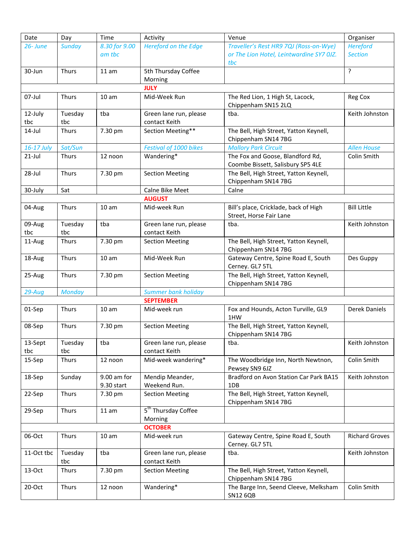| Date           | Day            | Time             | Activity                                   | Venue                                                                 | Organiser             |  |  |
|----------------|----------------|------------------|--------------------------------------------|-----------------------------------------------------------------------|-----------------------|--|--|
| 26-June        | <b>Sunday</b>  | 8.30 for 9.00    | <b>Hereford on the Edge</b>                | Traveller's Rest HR9 7QJ (Ross-on-Wye)                                | <b>Hereford</b>       |  |  |
|                |                | am tbc           |                                            | or The Lion Hotel, Leintwardine SY7 0JZ.                              | <b>Section</b>        |  |  |
|                |                |                  |                                            | tbc                                                                   |                       |  |  |
| 30-Jun         | <b>Thurs</b>   | 11 am            | 5th Thursday Coffee                        |                                                                       | ?                     |  |  |
|                |                |                  | Morning                                    |                                                                       |                       |  |  |
|                |                |                  | <b>JULY</b>                                |                                                                       |                       |  |  |
| 07-Jul         | Thurs          | 10 <sub>am</sub> | Mid-Week Run                               | The Red Lion, 1 High St, Lacock,<br>Chippenham SN15 2LQ               | Reg Cox               |  |  |
| 12-July        | Tuesday        | tba              | Green lane run, please                     | tba.                                                                  | Keith Johnston        |  |  |
| tbc            | tbc            |                  | contact Keith                              |                                                                       |                       |  |  |
| $14$ -Jul      | Thurs          | 7.30 pm          | Section Meeting**                          | The Bell, High Street, Yatton Keynell,<br>Chippenham SN14 7BG         |                       |  |  |
| 16-17 July     | Sat/Sun        |                  | Festival of 1000 bikes                     | <b>Mallory Park Circuit</b>                                           | <b>Allen House</b>    |  |  |
| $21$ -Jul      | <b>Thurs</b>   | 12 noon          | Wandering*                                 | The Fox and Goose, Blandford Rd,<br>Coombe Bissett, Salisbury SP5 4LE | Colin Smith           |  |  |
| 28-Jul         | Thurs          | 7.30 pm          | <b>Section Meeting</b>                     | The Bell, High Street, Yatton Keynell,                                |                       |  |  |
|                |                |                  |                                            | Chippenham SN14 7BG                                                   |                       |  |  |
| 30-July        | Sat            |                  | Calne Bike Meet                            | Calne                                                                 |                       |  |  |
|                |                |                  | <b>AUGUST</b>                              |                                                                       |                       |  |  |
| 04-Aug         | Thurs          | 10 <sub>am</sub> | Mid-week Run                               | Bill's place, Cricklade, back of High                                 | <b>Bill Little</b>    |  |  |
|                |                |                  |                                            | Street, Horse Fair Lane                                               |                       |  |  |
| 09-Aug         | Tuesday        | tba              | Green lane run, please                     | tba.                                                                  | Keith Johnston        |  |  |
| tbc            | tbc            |                  | contact Keith                              |                                                                       |                       |  |  |
| 11-Aug         | Thurs          | 7.30 pm          | <b>Section Meeting</b>                     | The Bell, High Street, Yatton Keynell,<br>Chippenham SN14 7BG         |                       |  |  |
| 18-Aug         | <b>Thurs</b>   | 10 <sub>am</sub> | Mid-Week Run                               | Gateway Centre, Spine Road E, South<br>Cerney. GL7 5TL                | Des Guppy             |  |  |
| 25-Aug         | Thurs          | 7.30 pm          | <b>Section Meeting</b>                     | The Bell, High Street, Yatton Keynell,<br>Chippenham SN14 7BG         |                       |  |  |
| 29-Aug         | <b>Monday</b>  |                  | <b>Summer bank holiday</b>                 |                                                                       |                       |  |  |
|                |                |                  | <b>SEPTEMBER</b>                           |                                                                       |                       |  |  |
| 01-Sep         | Thurs          | 10 <sub>am</sub> | Mid-week run                               | Fox and Hounds, Acton Turville, GL9<br>1HW                            | Derek Daniels         |  |  |
| 08-Sep         | Thurs          | 7.30 pm          | <b>Section Meeting</b>                     | The Bell, High Street, Yatton Keynell,<br>Chippenham SN14 7BG         |                       |  |  |
| 13-Sept        | Tuesday        | tba              | Green lane run, please                     | tba.                                                                  | Keith Johnston        |  |  |
| tbc            | tbc            |                  | contact Keith                              |                                                                       |                       |  |  |
| 15-Sep         | Thurs          | 12 noon          | Mid-week wandering*                        | The Woodbridge Inn, North Newtnon,<br>Pewsey SN9 6JZ                  | Colin Smith           |  |  |
| 18-Sep         | Sunday         | 9.00 am for      | Mendip Meander,                            | Bradford on Avon Station Car Park BA15                                | Keith Johnston        |  |  |
|                |                | 9.30 start       | Weekend Run.                               | 1DB                                                                   |                       |  |  |
| 22-Sep         | Thurs          | 7.30 pm          | <b>Section Meeting</b>                     | The Bell, High Street, Yatton Keynell,<br>Chippenham SN14 7BG         |                       |  |  |
| 29-Sep         | Thurs          | 11 am            | 5 <sup>th</sup> Thursday Coffee<br>Morning |                                                                       |                       |  |  |
| <b>OCTOBER</b> |                |                  |                                            |                                                                       |                       |  |  |
| 06-Oct         | Thurs          | 10 <sub>am</sub> | Mid-week run                               | Gateway Centre, Spine Road E, South<br>Cerney. GL7 5TL                | <b>Richard Groves</b> |  |  |
| 11-Oct tbc     | Tuesday<br>tbc | tba              | Green lane run, please<br>contact Keith    | tba.                                                                  | Keith Johnston        |  |  |
| 13-Oct         | Thurs          | 7.30 pm          | <b>Section Meeting</b>                     | The Bell, High Street, Yatton Keynell,<br>Chippenham SN14 7BG         |                       |  |  |
| 20-Oct         | Thurs          | 12 noon          | Wandering*                                 | The Barge Inn, Seend Cleeve, Melksham<br><b>SN12 6QB</b>              | Colin Smith           |  |  |